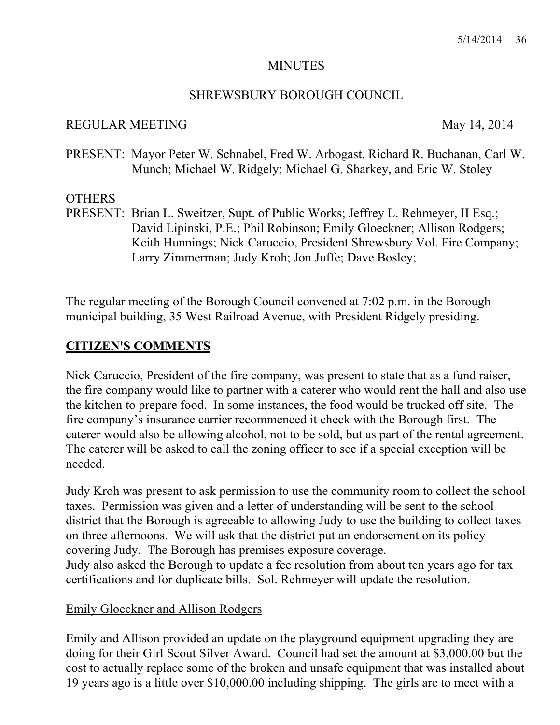#### **MINUTES**

#### SHREWSBURY BOROUGH COUNCIL

#### REGULAR MEETING May 14, 2014

PRESENT: Mayor Peter W. Schnabel, Fred W. Arbogast, Richard R. Buchanan, Carl W. Munch; Michael W. Ridgely; Michael G. Sharkey, and Eric W. Stoley

#### **OTHERS**

PRESENT: Brian L. Sweitzer, Supt. of Public Works; Jeffrey L. Rehmeyer, II Esq.; David Lipinski, P.E.; Phil Robinson; Emily Gloeckner; Allison Rodgers; Keith Hunnings; Nick Caruccio, President Shrewsbury Vol. Fire Company; Larry Zimmerman; Judy Kroh; Jon Juffe; Dave Bosley;

The regular meeting of the Borough Council convened at 7:02 p.m. in the Borough municipal building, 35 West Railroad Avenue, with President Ridgely presiding.

### **CITIZEN'S COMMENTS**

Nick Caruccio, President of the fire company, was present to state that as a fund raiser, the fire company would like to partner with a caterer who would rent the hall and also use the kitchen to prepare food. In some instances, the food would be trucked off site. The fire company's insurance carrier recommenced it check with the Borough first. The caterer would also be allowing alcohol, not to be sold, but as part of the rental agreement. The caterer will be asked to call the zoning officer to see if a special exception will be needed.

Judy Kroh was present to ask permission to use the community room to collect the school taxes. Permission was given and a letter of understanding will be sent to the school district that the Borough is agreeable to allowing Judy to use the building to collect taxes on three afternoons. We will ask that the district put an endorsement on its policy covering Judy. The Borough has premises exposure coverage. Judy also asked the Borough to update a fee resolution from about ten years ago for tax certifications and for duplicate bills. Sol. Rehmeyer will update the resolution.

#### Emily Gloeckner and Allison Rodgers

Emily and Allison provided an update on the playground equipment upgrading they are doing for their Girl Scout Silver Award. Council had set the amount at \$3,000.00 but the cost to actually replace some of the broken and unsafe equipment that was installed about 19 years ago is a little over \$10,000.00 including shipping. The girls are to meet with a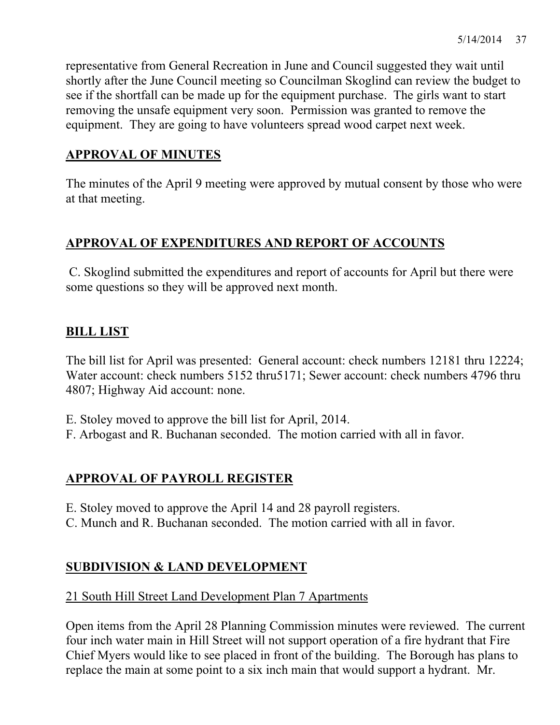representative from General Recreation in June and Council suggested they wait until shortly after the June Council meeting so Councilman Skoglind can review the budget to see if the shortfall can be made up for the equipment purchase. The girls want to start removing the unsafe equipment very soon. Permission was granted to remove the equipment. They are going to have volunteers spread wood carpet next week.

## **APPROVAL OF MINUTES**

The minutes of the April 9 meeting were approved by mutual consent by those who were at that meeting.

## **APPROVAL OF EXPENDITURES AND REPORT OF ACCOUNTS**

 C. Skoglind submitted the expenditures and report of accounts for April but there were some questions so they will be approved next month.

## **BILL LIST**

The bill list for April was presented: General account: check numbers 12181 thru 12224; Water account: check numbers 5152 thru5171; Sewer account: check numbers 4796 thru 4807; Highway Aid account: none.

- E. Stoley moved to approve the bill list for April, 2014.
- F. Arbogast and R. Buchanan seconded. The motion carried with all in favor.

## **APPROVAL OF PAYROLL REGISTER**

- E. Stoley moved to approve the April 14 and 28 payroll registers.
- C. Munch and R. Buchanan seconded. The motion carried with all in favor.

## **SUBDIVISION & LAND DEVELOPMENT**

### 21 South Hill Street Land Development Plan 7 Apartments

Open items from the April 28 Planning Commission minutes were reviewed. The current four inch water main in Hill Street will not support operation of a fire hydrant that Fire Chief Myers would like to see placed in front of the building. The Borough has plans to replace the main at some point to a six inch main that would support a hydrant. Mr.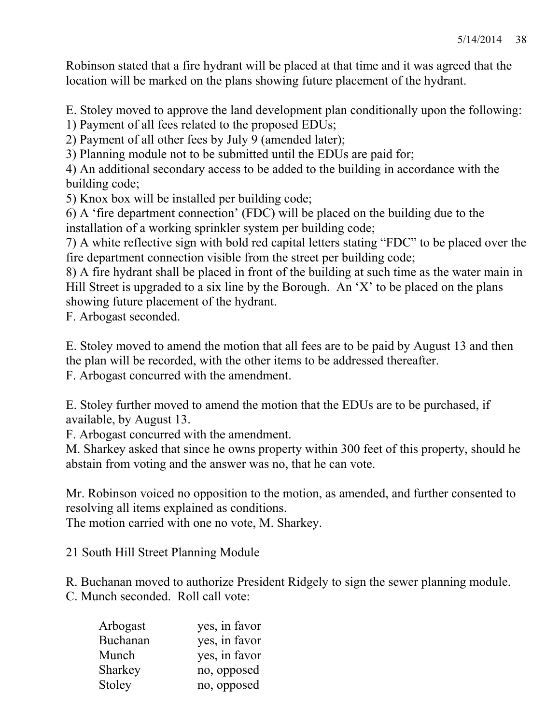Robinson stated that a fire hydrant will be placed at that time and it was agreed that the location will be marked on the plans showing future placement of the hydrant.

E. Stoley moved to approve the land development plan conditionally upon the following:

1) Payment of all fees related to the proposed EDUs;

2) Payment of all other fees by July 9 (amended later);

3) Planning module not to be submitted until the EDUs are paid for;

4) An additional secondary access to be added to the building in accordance with the building code;

5) Knox box will be installed per building code;

6) A 'fire department connection' (FDC) will be placed on the building due to the installation of a working sprinkler system per building code;

7) A white reflective sign with bold red capital letters stating "FDC" to be placed over the fire department connection visible from the street per building code;

8) A fire hydrant shall be placed in front of the building at such time as the water main in Hill Street is upgraded to a six line by the Borough. An 'X' to be placed on the plans showing future placement of the hydrant.

F. Arbogast seconded.

E. Stoley moved to amend the motion that all fees are to be paid by August 13 and then the plan will be recorded, with the other items to be addressed thereafter.

F. Arbogast concurred with the amendment.

E. Stoley further moved to amend the motion that the EDUs are to be purchased, if available, by August 13.

F. Arbogast concurred with the amendment.

M. Sharkey asked that since he owns property within 300 feet of this property, should he abstain from voting and the answer was no, that he can vote.

Mr. Robinson voiced no opposition to the motion, as amended, and further consented to resolving all items explained as conditions.

The motion carried with one no vote, M. Sharkey.

#### 21 South Hill Street Planning Module

R. Buchanan moved to authorize President Ridgely to sign the sewer planning module. C. Munch seconded. Roll call vote:

| Arbogast | yes, in favor |
|----------|---------------|
| Buchanan | yes, in favor |
| Munch    | yes, in favor |
| Sharkey  | no, opposed   |
| Stoley   | no, opposed   |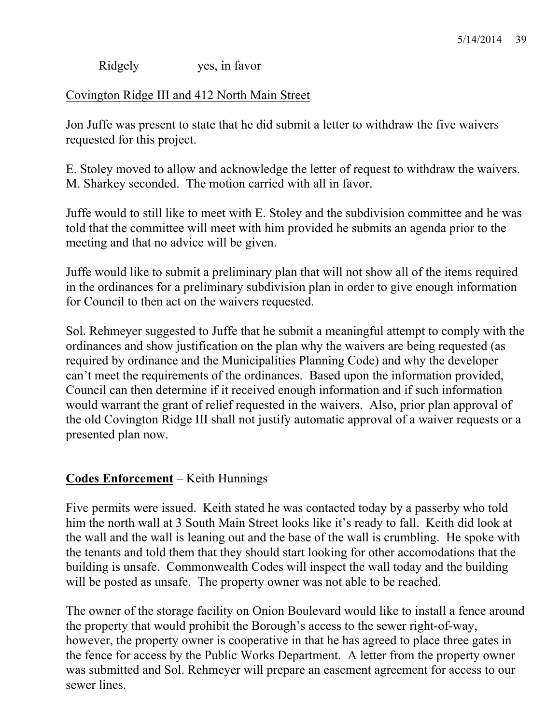Ridgely yes, in favor

Covington Ridge III and 412 North Main Street

Jon Juffe was present to state that he did submit a letter to withdraw the five waivers requested for this project.

E. Stoley moved to allow and acknowledge the letter of request to withdraw the waivers. M. Sharkey seconded. The motion carried with all in favor.

Juffe would to still like to meet with E. Stoley and the subdivision committee and he was told that the committee will meet with him provided he submits an agenda prior to the meeting and that no advice will be given.

Juffe would like to submit a preliminary plan that will not show all of the items required in the ordinances for a preliminary subdivision plan in order to give enough information for Council to then act on the waivers requested.

Sol. Rehmeyer suggested to Juffe that he submit a meaningful attempt to comply with the ordinances and show justification on the plan why the waivers are being requested (as required by ordinance and the Municipalities Planning Code) and why the developer can't meet the requirements of the ordinances. Based upon the information provided, Council can then determine if it received enough information and if such information would warrant the grant of relief requested in the waivers. Also, prior plan approval of the old Covington Ridge III shall not justify automatic approval of a waiver requests or a presented plan now.

## **Codes Enforcement** – Keith Hunnings

Five permits were issued. Keith stated he was contacted today by a passerby who told him the north wall at 3 South Main Street looks like it's ready to fall. Keith did look at the wall and the wall is leaning out and the base of the wall is crumbling. He spoke with the tenants and told them that they should start looking for other accomodations that the building is unsafe. Commonwealth Codes will inspect the wall today and the building will be posted as unsafe. The property owner was not able to be reached.

The owner of the storage facility on Onion Boulevard would like to install a fence around the property that would prohibit the Borough's access to the sewer right-of-way, however, the property owner is cooperative in that he has agreed to place three gates in the fence for access by the Public Works Department. A letter from the property owner was submitted and Sol. Rehmeyer will prepare an easement agreement for access to our sewer lines.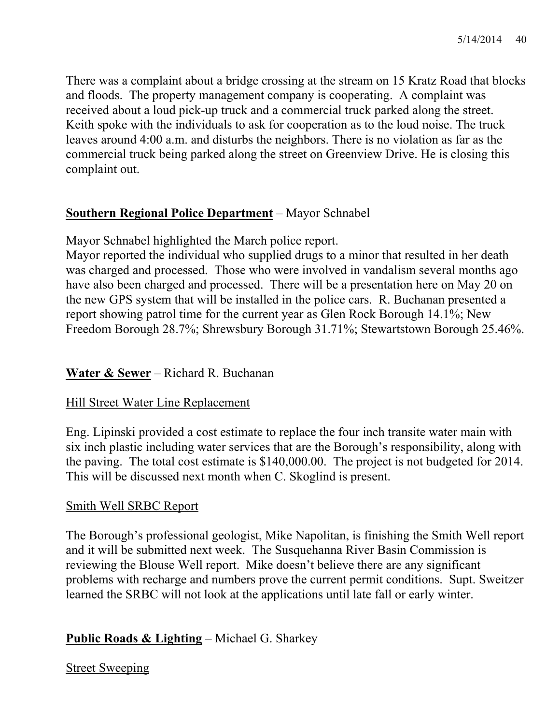There was a complaint about a bridge crossing at the stream on 15 Kratz Road that blocks and floods. The property management company is cooperating. A complaint was received about a loud pick-up truck and a commercial truck parked along the street. Keith spoke with the individuals to ask for cooperation as to the loud noise. The truck leaves around 4:00 a.m. and disturbs the neighbors. There is no violation as far as the commercial truck being parked along the street on Greenview Drive. He is closing this complaint out.

#### **Southern Regional Police Department** – Mayor Schnabel

Mayor Schnabel highlighted the March police report.

Mayor reported the individual who supplied drugs to a minor that resulted in her death was charged and processed. Those who were involved in vandalism several months ago have also been charged and processed. There will be a presentation here on May 20 on the new GPS system that will be installed in the police cars. R. Buchanan presented a report showing patrol time for the current year as Glen Rock Borough 14.1%; New Freedom Borough 28.7%; Shrewsbury Borough 31.71%; Stewartstown Borough 25.46%.

## **Water & Sewer** – Richard R. Buchanan

#### Hill Street Water Line Replacement

Eng. Lipinski provided a cost estimate to replace the four inch transite water main with six inch plastic including water services that are the Borough's responsibility, along with the paving. The total cost estimate is \$140,000.00. The project is not budgeted for 2014. This will be discussed next month when C. Skoglind is present.

#### Smith Well SRBC Report

The Borough's professional geologist, Mike Napolitan, is finishing the Smith Well report and it will be submitted next week. The Susquehanna River Basin Commission is reviewing the Blouse Well report. Mike doesn't believe there are any significant problems with recharge and numbers prove the current permit conditions. Supt. Sweitzer learned the SRBC will not look at the applications until late fall or early winter.

## **Public Roads & Lighting** – Michael G. Sharkey

#### Street Sweeping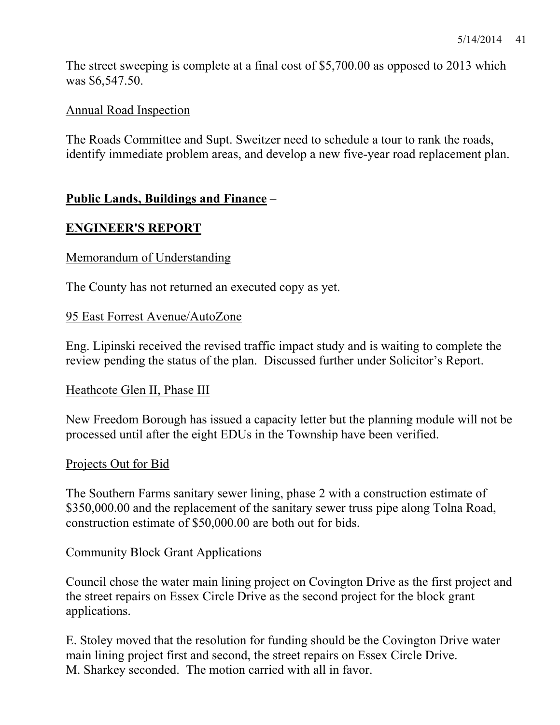The street sweeping is complete at a final cost of \$5,700.00 as opposed to 2013 which was \$6,547.50.

### Annual Road Inspection

The Roads Committee and Supt. Sweitzer need to schedule a tour to rank the roads, identify immediate problem areas, and develop a new five-year road replacement plan.

### **Public Lands, Buildings and Finance** –

#### **ENGINEER'S REPORT**

#### Memorandum of Understanding

The County has not returned an executed copy as yet.

#### 95 East Forrest Avenue/AutoZone

Eng. Lipinski received the revised traffic impact study and is waiting to complete the review pending the status of the plan. Discussed further under Solicitor's Report.

#### Heathcote Glen II, Phase III

New Freedom Borough has issued a capacity letter but the planning module will not be processed until after the eight EDUs in the Township have been verified.

#### Projects Out for Bid

The Southern Farms sanitary sewer lining, phase 2 with a construction estimate of \$350,000.00 and the replacement of the sanitary sewer truss pipe along Tolna Road, construction estimate of \$50,000.00 are both out for bids.

#### Community Block Grant Applications

Council chose the water main lining project on Covington Drive as the first project and the street repairs on Essex Circle Drive as the second project for the block grant applications.

E. Stoley moved that the resolution for funding should be the Covington Drive water main lining project first and second, the street repairs on Essex Circle Drive. M. Sharkey seconded. The motion carried with all in favor.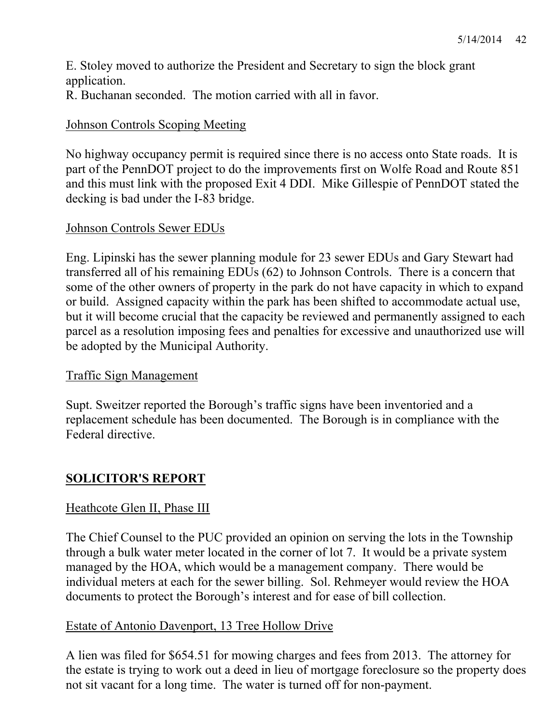E. Stoley moved to authorize the President and Secretary to sign the block grant application.

R. Buchanan seconded. The motion carried with all in favor.

### Johnson Controls Scoping Meeting

No highway occupancy permit is required since there is no access onto State roads. It is part of the PennDOT project to do the improvements first on Wolfe Road and Route 851 and this must link with the proposed Exit 4 DDI. Mike Gillespie of PennDOT stated the decking is bad under the I-83 bridge.

#### Johnson Controls Sewer EDUs

Eng. Lipinski has the sewer planning module for 23 sewer EDUs and Gary Stewart had transferred all of his remaining EDUs (62) to Johnson Controls. There is a concern that some of the other owners of property in the park do not have capacity in which to expand or build. Assigned capacity within the park has been shifted to accommodate actual use, but it will become crucial that the capacity be reviewed and permanently assigned to each parcel as a resolution imposing fees and penalties for excessive and unauthorized use will be adopted by the Municipal Authority.

#### Traffic Sign Management

Supt. Sweitzer reported the Borough's traffic signs have been inventoried and a replacement schedule has been documented. The Borough is in compliance with the Federal directive.

# **SOLICITOR'S REPORT**

## Heathcote Glen II, Phase III

The Chief Counsel to the PUC provided an opinion on serving the lots in the Township through a bulk water meter located in the corner of lot 7. It would be a private system managed by the HOA, which would be a management company. There would be individual meters at each for the sewer billing. Sol. Rehmeyer would review the HOA documents to protect the Borough's interest and for ease of bill collection.

#### Estate of Antonio Davenport, 13 Tree Hollow Drive

A lien was filed for \$654.51 for mowing charges and fees from 2013. The attorney for the estate is trying to work out a deed in lieu of mortgage foreclosure so the property does not sit vacant for a long time. The water is turned off for non-payment.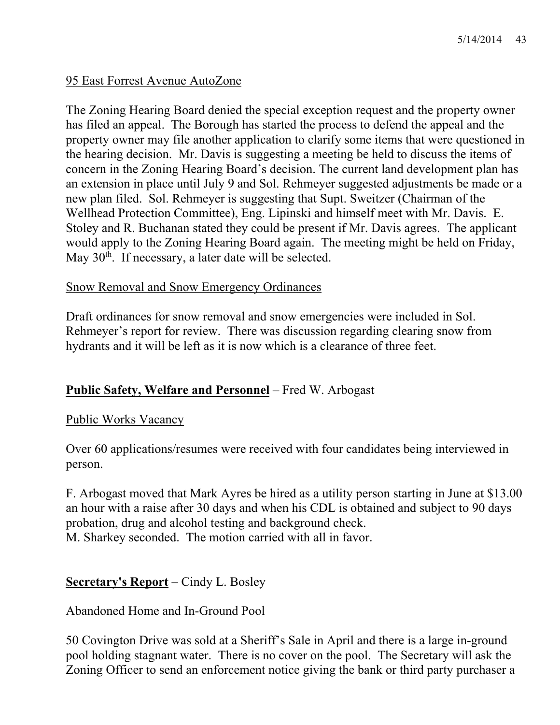## 95 East Forrest Avenue AutoZone

The Zoning Hearing Board denied the special exception request and the property owner has filed an appeal. The Borough has started the process to defend the appeal and the property owner may file another application to clarify some items that were questioned in the hearing decision. Mr. Davis is suggesting a meeting be held to discuss the items of concern in the Zoning Hearing Board's decision. The current land development plan has an extension in place until July 9 and Sol. Rehmeyer suggested adjustments be made or a new plan filed. Sol. Rehmeyer is suggesting that Supt. Sweitzer (Chairman of the Wellhead Protection Committee), Eng. Lipinski and himself meet with Mr. Davis. E. Stoley and R. Buchanan stated they could be present if Mr. Davis agrees. The applicant would apply to the Zoning Hearing Board again. The meeting might be held on Friday, May 30<sup>th</sup>. If necessary, a later date will be selected.

### Snow Removal and Snow Emergency Ordinances

Draft ordinances for snow removal and snow emergencies were included in Sol. Rehmeyer's report for review. There was discussion regarding clearing snow from hydrants and it will be left as it is now which is a clearance of three feet.

## **Public Safety, Welfare and Personnel** – Fred W. Arbogast

#### Public Works Vacancy

Over 60 applications/resumes were received with four candidates being interviewed in person.

F. Arbogast moved that Mark Ayres be hired as a utility person starting in June at \$13.00 an hour with a raise after 30 days and when his CDL is obtained and subject to 90 days probation, drug and alcohol testing and background check. M. Sharkey seconded. The motion carried with all in favor.

## **Secretary's Report** – Cindy L. Bosley

#### Abandoned Home and In-Ground Pool

50 Covington Drive was sold at a Sheriff's Sale in April and there is a large in-ground pool holding stagnant water. There is no cover on the pool. The Secretary will ask the Zoning Officer to send an enforcement notice giving the bank or third party purchaser a